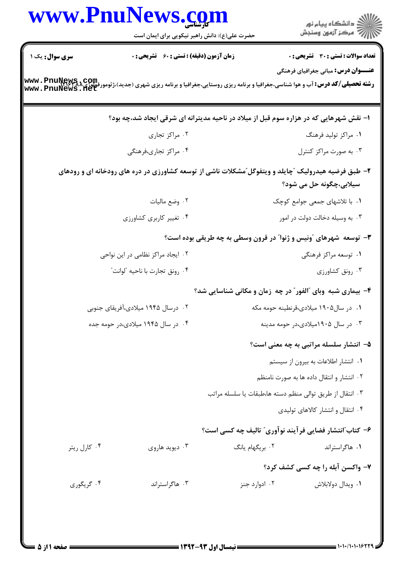| www.PnuNews.com                                    | حضرت علی(ع): دانش راهبر نیکویی برای ایمان است | ر دانشڪاه پيام نور<br>اڳ مرڪز آزمون وسنڊش                                                                                                                         |
|----------------------------------------------------|-----------------------------------------------|-------------------------------------------------------------------------------------------------------------------------------------------------------------------|
| <b>زمان آزمون (دقیقه) : تستی : 60 ٪ تشریحی : 0</b> |                                               | <b>تعداد سوالات : تستی : 30 - تشریحی : 0</b><br><b>عنــــوان درس:</b> مبانی جغرافیای فرهنگی                                                                       |
|                                                    |                                               | <b>رشته تحصیلی/کد درس:</b> آب و هوا شناسی،جغرافیا و برنامه ریزی روستایی،جغرافیا و برنامه ریزی شهری (جدید)،ژئومورفولوژیMww . PnuNews , 1et<br>www . PnuNews . 1let |
|                                                    |                                               | ۱– نقش شهرهایی که در هزاره سوم قبل از میلاد در ناحیه مدیترانه ای شرقی ایجاد شد،چه بود؟                                                                            |
| ۰۲ مراکز تجاری                                     |                                               | ۰۱ مراکز تولید فرهنگ                                                                                                                                              |
| ۰۴ مراکز تجاری،فرهنگی                              |                                               | ۰۳ به صورت مراکز کنترل                                                                                                                                            |
|                                                    |                                               | ۲- طبق فرضیه هیدرولیک ″چایلد و ویتفوگل″مشکلات ناشی از توسعه کشاورزی در دره های رودخانه ای و رودهای<br>سیلابی،چگونه حل می شود؟                                     |
| ۰۲ وضع ماليات                                      |                                               | ۰۱ با تلاشهای جمعی جوامع کوچک                                                                                                                                     |
| ۰۴ تغییر کاربری کشاورزی                            |                                               | ۰۳ به وسیله دخالت دولت در امور                                                                                                                                    |
|                                                    |                                               | ۳- توسعه ًشهرهای "ونیس و ژنوا" در قرون وسطی به چه طریقی بوده است؟                                                                                                 |
| ۰۲ ایجاد مراکز نظامی در این نواحی                  |                                               | ۰۱ توسعه مراکز فرهنگی                                                                                                                                             |
| ۰۴ رونق تجارت با ناحيه "لوانت"                     |                                               | ۰۳ رونق کشاورزی                                                                                                                                                   |
|                                                    |                                               | ۴- بیماری شبه وبای "الفور" در چه زمان و مکانی شناسایی شد؟                                                                                                         |
| ۰۲ درسال ۱۹۴۵ میلادی،آفریقای جنوبی                 |                                               | ۰۱ در سال۱۹۰۵ میلادی،قرنطینه حومه مکه                                                                                                                             |
| ۰۴ در سال ۱۹۴۵ میلادی،در حومه جده                  |                                               | ۰۳ در سال ۱۹۰۵میلادی،در حومه مدینه                                                                                                                                |
|                                                    |                                               | ۵- انتشار سلسله مراتبی به چه معنی است؟                                                                                                                            |
|                                                    |                                               | ٠١ انتشار اطلاعات به بيرون از سيستم                                                                                                                               |
|                                                    |                                               | ۲. انتشار و انتقال داده ها به صورت نامنظم                                                                                                                         |
|                                                    |                                               | ۰۳ انتقال از طريق توالي منظم دسته ها،طبقات يا سلسله مراتب                                                                                                         |
|                                                    |                                               | ۰۴ انتقال و انتشار کالاهای تولیدی                                                                                                                                 |
|                                                    |                                               | ۶- کتاب ؒانتشار فضایی فرآیند نوآوری ؒ تالیف چه کسی است؟                                                                                                           |
| ۰۳ دیوید هاروی                                     | ۰۲ بریگهام یانگ                               | ۰۱ هاگراستراند                                                                                                                                                    |
|                                                    |                                               | ۷- واکسن آبله را چه کسی کشف کرد؟                                                                                                                                  |
| ۰۳ هاگراستراند                                     | ۰۲ ادوارد جنز                                 | ٠١. ويدال دولابلاش                                                                                                                                                |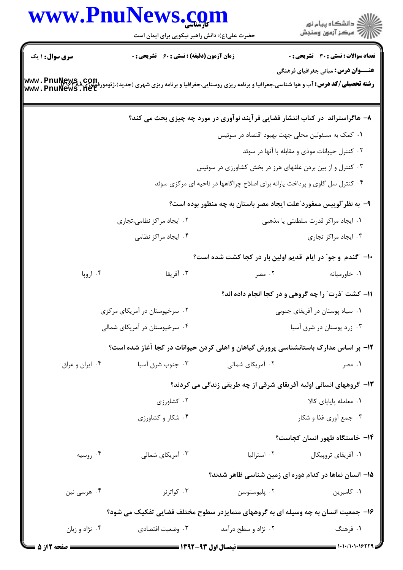|                               | www.PnuNews.com                                    |                     | ِ<br>∭ دانشڪاه پيام نور<br>∭ مرڪز آزمون وسنڊش                                       |
|-------------------------------|----------------------------------------------------|---------------------|-------------------------------------------------------------------------------------|
|                               | حضرت علی(ع): دانش راهبر نیکویی برای ایمان است      |                     |                                                                                     |
| سری سوال: ۱ یک                | <b>زمان آزمون (دقیقه) : تستی : 60 ٪ تشریحی : 0</b> |                     | <b>تعداد سوالات : تستی : 30 ٪ تشریحی : 0</b>                                        |
|                               |                                                    |                     | <b>عنـــوان درس:</b> مبانی جغرافیای فرهنگی                                          |
|                               |                                                    |                     |                                                                                     |
|                               |                                                    |                     | ۸– هاگراستراند در کتاب انتشار فضایی فرآیند نوآوری در مورد چه چیزی بحث می کند؟       |
|                               |                                                    |                     | ۰۱ کمک به مسئولین محلی جهت بهبود اقتصاد در سوئیس                                    |
|                               |                                                    |                     | ۰۲ کنترل حیوانات موذی و مقابله با آنها در سوئد                                      |
|                               |                                                    |                     | ۰۳ کنترل و از بین بردن علفهای هرز در بخش کشاورزی در سوئیس                           |
|                               |                                                    |                     | ۰۴ کنترل سل گاوی و پرداخت یارانه برای اصلاح چراگاهها در ناحیه ای مرکزی سوئد         |
|                               |                                                    |                     | ۹- به نظر ؒلوییس ممفورد ؒعلت ایجاد مصر باستان به چه منظور بوده است؟                 |
|                               | ۰۲ ایجاد مراکز نظامی،تجاری                         |                     | ۰۱ ایجاد مراکز قدرت سلطنتی یا مذهبی                                                 |
|                               | ۰۴ ایجاد مراکز نظامی                               |                     | ۰۳ ایجاد مراکز تجاری                                                                |
|                               |                                                    |                     | ∙۱- ″گندم و جو″ در ایام قدیم اولین بار در کجا کشت شده است؟                          |
| ۰۴ اروپا                      | ۰۳ آفریقا                                          | ۰۲ مصر              | ۰۱ خاورمیانه                                                                        |
|                               |                                                    |                     | 11- کشت "ذرت" را چه گروهی و در کجا انجام داده اند؟                                  |
|                               | ۰۲ سرخپوستان در آمریکای مرکزی                      |                     | ۰۱ سیاه پوستان در آفریقای جنوبی                                                     |
| ۰۴ سرخپوستان در آمریکای شمالی |                                                    |                     | ۰۳ زرد پوستان در شرق آسیا                                                           |
|                               |                                                    |                     | ۱۲- بر اساس مدارک باستانشناسی پرورش گیاهان و اهلی کردن حیوانات در کجا آغاز شده است؟ |
| ۰۴ ایران و عراق               | ۰۳ جنوب شرق آسیا                                   | ۰۲ آمریکای شمالی    | ۰۱ مصر                                                                              |
|                               |                                                    |                     | ۱۳- گروههای انسانی اولیه آفریقای شرقی از چه طریقی زندگی می کردند؟                   |
|                               | ۰۲ کشاورزی                                         |                     | ٠١. معامله پاياپاى كالا                                                             |
|                               | ۰۴ شکار و کشاورزی                                  |                     | ۰۳ جمع آوری غذا و شکار                                                              |
|                               |                                                    |                     | ۱۴– خاستگاه ظهور انسان کجاست؟                                                       |
| ۰۴ روسیه                      | ۰۳ آمریکای شمالی                                   | ۰۲ استرالیا         | ٠١ أفريقاي تروپيكال                                                                 |
|                               |                                                    |                     | ۱۵– انسان نماها در کدام دوره ای زمین شناسی ظاهر شدند؟                               |
| ۰۴ هرسي نين                   | ۰۳ کواترنر                                         | ۰۲ پليوستوسن        | ٠١. كامبرين                                                                         |
|                               |                                                    |                     | ۱۶– جمعیت انسان به چه وسیله ای به گروههای متمایزدر سطوح مختلف فضایی تفکیک می شود؟   |
| ۰۴ نژاد و زبان                | ۰۳ وضعیت اقتصادی                                   | ۰۲ نژاد و سطح درآمد | ۱. فرهنگ                                                                            |
|                               |                                                    |                     | $= 1.1.11.1.19779$                                                                  |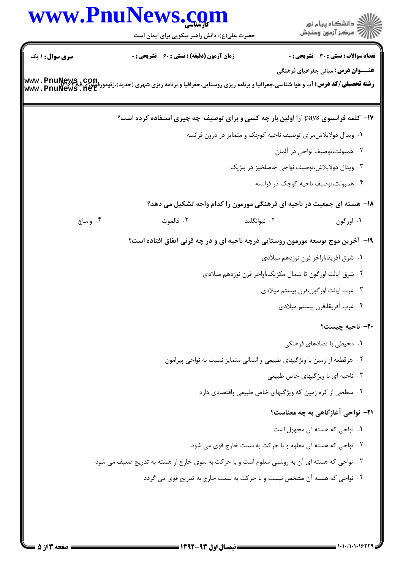|                        | www.PnuNews.com<br>حضرت علی(ع): دانش راهبر نیکویی برای ایمان است                                                                                                          | ر<br>ران دانشگاه پيام نور<br>ران مرکز آزمون وسنڊش               |
|------------------------|---------------------------------------------------------------------------------------------------------------------------------------------------------------------------|-----------------------------------------------------------------|
| <b>سری سوال : ۱ یک</b> | زمان آزمون (دقیقه) : تستی : 60 ٪ تشریحی : 0                                                                                                                               | <b>تعداد سوالات : تستی : 30 ٪ تشریحی : 0</b>                    |
|                        | <b>www . PnuNews , Com.</b><br>و <b>شته تحصیلی/کد درس:</b> آب و هوا شناسی،جغرافیا و برنامه ریزی روستایی،جغرافیا و برنامه ریزی شهری (جدید)،ژئومورفولوژیMww . PnuNews . net | <b>عنـــوان درس:</b> مبانی جغرافیای فرهنگی                      |
|                        | <b>۱۷</b> - کلمه فرانسوی "pays "را اولین بار چه کسی و برای توصیف چه چیزی استفاده کرده است؟                                                                                |                                                                 |
|                        |                                                                                                                                                                           | ۰۱ ویدال دولابلاش،برای توصیف ناحیه کوچک و متمایز در درون فرانسه |
|                        |                                                                                                                                                                           | ۰۲ همبولت،توصيف نواحي در آلمان                                  |
|                        |                                                                                                                                                                           | ۰۳ ویدال دولابلاش،توصیف نواحی حاصلخیز در بلژیک                  |
|                        |                                                                                                                                                                           | ۰۴ همبولت،توصيف ناحيه كوچک در فرانسه                            |
|                        | ۱۸– هسته ای جمعیت در ناحیه ای فرهنگی مورمون را کدام واحه تشکیل می دهد؟                                                                                                    |                                                                 |
| ۰۴ واساچ               | ۰۳ فالموث<br>۰۲ نیوانگلند                                                                                                                                                 | ۰۱ اورگون                                                       |
|                        | ۱۹- آخرین موج توسعه مورمون روستایی درچه ناحیه ای و در چه قرنی اتفاق افتاده است؟                                                                                           |                                                                 |
|                        |                                                                                                                                                                           | ٠١ شرق أفريقا،اواخر قرن نوزدهم ميلادي                           |
|                        |                                                                                                                                                                           | ۰۲ شرق ایالت اورگون تا شمال مکزیک،اواخر قرن نوزدهم میلادی       |
|                        |                                                                                                                                                                           | ۰۳ غرب ايالت اورگون،قرن بيستم ميلادي                            |
|                        |                                                                                                                                                                           | ۰۴ غرب أفريقا،قرن بيستم ميلادي                                  |
|                        |                                                                                                                                                                           | ٢٠- ناحيه چيست؟                                                 |
|                        |                                                                                                                                                                           | <b>۱</b> . محیطی با تضادهای فرهنگی                              |
|                        | ۰۲ هرقطعه از زمین با ویژگیهای طبیعی و انسانی متمایز نسبت به نواحی پیرامون                                                                                                 |                                                                 |
|                        |                                                                                                                                                                           | ۰۳ ناحیه ای با ویژگیهای خاص طبیعی                               |
|                        |                                                                                                                                                                           | ۰۴ سطحی از کره زمین که ویژگیهای خاص طبیعی واقتصادی دارد         |
|                        |                                                                                                                                                                           | <b>۲۱</b> - نواحی آغازگاهی به چه معناست؟                        |
|                        |                                                                                                                                                                           | ٠١ نواحي كه هسته آن مجهول است                                   |
|                        |                                                                                                                                                                           | ۰۲ نواحی که هسته آن معلوم و با حرکت به سمت خارج قوی می شود      |
|                        | ۰۳ نواحی که هسته ای آن به روشنی معلوم است و با حرکت به سوی خارج از هسته به تدریج ضعیف می شود                                                                              |                                                                 |
|                        | ۰۴ نواحی که هسته آن مشخص نیست و با حرکت به سمت خارج به تدریج قوی می گردد                                                                                                  |                                                                 |
|                        |                                                                                                                                                                           |                                                                 |
|                        |                                                                                                                                                                           |                                                                 |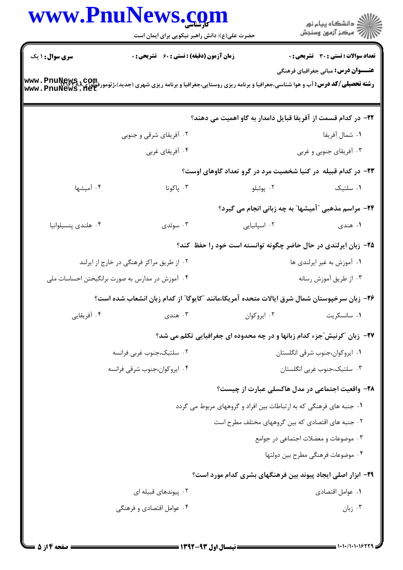|                                                                                                                                                                                                                 | www.PnuNews.com<br>حضرت علی(ع): دانش راهبر نیکویی برای ایمان است                            |                                                                                 | ِ<br>∭ دانشڪاه پيام نور<br>∭ مرڪز آزمون وسنڊش |  |
|-----------------------------------------------------------------------------------------------------------------------------------------------------------------------------------------------------------------|---------------------------------------------------------------------------------------------|---------------------------------------------------------------------------------|-----------------------------------------------|--|
| <b>سری سوال : ۱ یک</b>                                                                                                                                                                                          | <b>زمان آزمون (دقیقه) : تستی : 60 ٪ تشریحی : 0</b>                                          |                                                                                 | <b>تعداد سوالات : تستي : 30 ٪ تشريحي : 0</b>  |  |
| <b>عنــــوان درس:</b> مبانی جغرافیای فرهنگی<br><b>رشته تحصیلی/کد درس:</b> آب و هوا شناسی،جغرافیا و برنامه ریزی روستایی،جغرافیا و برنامه ریزی شهری (جدید)،ژئومورفولوژیMww . PnuNews . net<br>www . PnuNews . net |                                                                                             |                                                                                 |                                               |  |
|                                                                                                                                                                                                                 |                                                                                             | <b>۲۲</b> – در کدام قسمت از آفریقا قبایل دامدار به گاو اهمیت می دهند؟           |                                               |  |
|                                                                                                                                                                                                                 | ۰۲ آفریقای شرقی و جنوبی                                                                     |                                                                                 | ٠١ شمال آفريقا                                |  |
|                                                                                                                                                                                                                 | ۰۴ آفریقای غربی                                                                             |                                                                                 | ۰۳ آفریقای جنوبی و غربی                       |  |
|                                                                                                                                                                                                                 |                                                                                             | ۲۳- در کدام قبیله در کنیا شخصیت مرد در گرو تعداد گاوهای اوست؟                   |                                               |  |
| ۰۴ آمیشها                                                                                                                                                                                                       | ۰۳ پاکوتا                                                                                   | ۰۲ پوئبلو                                                                       | ۰۱ سلتیک                                      |  |
|                                                                                                                                                                                                                 |                                                                                             | <b>۲۴</b> - مراسم مذهبی "آمیشها" به چه زبانی انجام می گیرد؟                     |                                               |  |
| ۰۴ هلندی پنسیلوانیا                                                                                                                                                                                             | ۰۳ سوئدي                                                                                    | ۰۲ اسپانیایی                                                                    | ۱. هندی                                       |  |
|                                                                                                                                                                                                                 |                                                                                             | ۲۵- زبان ایرلندی در حال حاضر چگونه توانسته است خود را حفظ کند؟                  |                                               |  |
|                                                                                                                                                                                                                 | ۰۲ از طریق مراکز فرهنگی در خارج از ایرلند                                                   |                                                                                 | ۰۱ آموزش به غیر ایرلندی ها                    |  |
|                                                                                                                                                                                                                 | ۰۴ آموزش در مدارس به صورت برانگیختن احساسات ملی                                             |                                                                                 | ۰۳ از طريق آموزش رسانه                        |  |
|                                                                                                                                                                                                                 | ۲۶– زبان سرخپوستان شمال شرق ایالات متحده آمریکا،مانند "کایوگا" از کدام زبان انشعاب شده است؟ |                                                                                 |                                               |  |
| ۰۴ آفریقایی                                                                                                                                                                                                     | ۰۳ هندی                                                                                     | ۰۲ ایروکوان                                                                     | ۰۱ سانسکریت                                   |  |
|                                                                                                                                                                                                                 |                                                                                             | <b>۲۷</b> - زبان "کرنیش"جزء کدام زبانها و در چه محدوده ای جغرافیایی تکلم می شد؟ |                                               |  |
| ۰۲ سلتيک،جنوب غربي فرانسه                                                                                                                                                                                       |                                                                                             |                                                                                 | ۰۱ ایروکوان،جنوب شرقی انگلستان                |  |
|                                                                                                                                                                                                                 | ۰۴ ایروکوان،جنوب شرقی فرانسه                                                                |                                                                                 | ۰۳ سلتیک،جنوب غربی انگلستان                   |  |
|                                                                                                                                                                                                                 |                                                                                             | ۲۸- واقعیت اجتماعی در مدل هاکسلی عبارت از چیست؟                                 |                                               |  |
|                                                                                                                                                                                                                 |                                                                                             | ۰۱ جنبه های فرهنگی که به ارتباطات بین افراد و گروههای مربوط می گردد             |                                               |  |
|                                                                                                                                                                                                                 |                                                                                             | ۰۲ جنبه های اقتصادی که بین گروههای مختلف مطرح است                               |                                               |  |
|                                                                                                                                                                                                                 |                                                                                             |                                                                                 | ۰۳ موضوعات و معضلات اجتماعی در جوامع          |  |
|                                                                                                                                                                                                                 |                                                                                             |                                                                                 | ۰۴ موضوعات فرهنگی مطرح بین دولتها             |  |
|                                                                                                                                                                                                                 |                                                                                             | ۲۹– ابزار اصلی ایجاد پیوند بین فرهنگهای بشری کدام مورد است؟                     |                                               |  |
|                                                                                                                                                                                                                 | ۰۲ پیوندهای قبیله ای                                                                        |                                                                                 | ٠١. عوامل اقتصادي                             |  |
|                                                                                                                                                                                                                 | ۰۴ عوامل اقتصادی و فرهنگی                                                                   |                                                                                 | ۰۳ زبان                                       |  |
|                                                                                                                                                                                                                 |                                                                                             |                                                                                 |                                               |  |